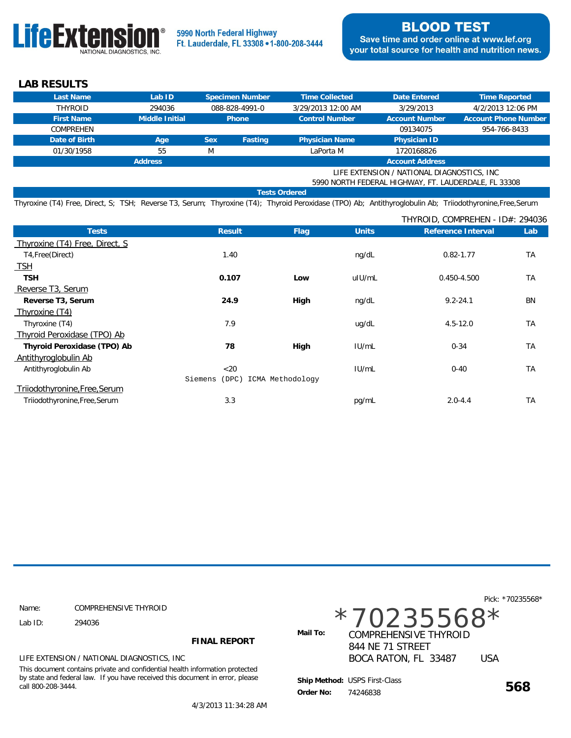

 **LAB RESULTS**

| Last Name                                            | Lab ID         |            | Specimen Number | <b>Time Collected</b> | Date Entered           | Time Reported               |
|------------------------------------------------------|----------------|------------|-----------------|-----------------------|------------------------|-----------------------------|
| <b>THYROID</b>                                       | 294036         |            | 088-828-4991-0  | 3/29/2013 12:00 AM    | 3/29/2013              | 4/2/2013 12:06 PM           |
| <b>First Name</b>                                    | Middle Initial |            | <b>Phone</b>    | <b>Control Number</b> | <b>Account Number</b>  | <b>Account Phone Number</b> |
| <b>COMPREHEN</b>                                     |                |            |                 |                       | 09134075               | 954-766-8433                |
| Date of Birth                                        | Age            | <b>Sex</b> | Fasting         | <b>Physician Name</b> | Physician ID           |                             |
| 01/30/1958                                           | 55             | M          |                 | LaPorta M             | 1720168826             |                             |
|                                                      | <b>Address</b> |            |                 |                       | <b>Account Address</b> |                             |
| LIFE EXTENSION / NATIONAL DIAGNOSTICS, INC.          |                |            |                 |                       |                        |                             |
| 5990 NORTH FEDERAL HIGHWAY, FT. LAUDERDALE, FL 33308 |                |            |                 |                       |                        |                             |
| <b>Tests Ordered</b>                                 |                |            |                 |                       |                        |                             |

Thyroxine (T4) Free, Direct, S; TSH; Reverse T3, Serum; Thyroxine (T4); Thyroid Peroxidase (TPO) Ab; Antithyroglobulin Ab; Triiodothyronine,Free,Serum

|                                                                       |      |              | THYROID, COMPREHEN - ID#: 294036 |           |  |
|-----------------------------------------------------------------------|------|--------------|----------------------------------|-----------|--|
| Result                                                                | Flag | <b>Units</b> | Reference Interval               | Lab       |  |
|                                                                       |      |              |                                  |           |  |
| 1.40                                                                  |      | ng/dL        | $0.82 - 1.77$                    | <b>TA</b> |  |
|                                                                       |      |              |                                  |           |  |
| 0.107                                                                 | Low  | uIU/mL       | 0.450-4.500                      | <b>TA</b> |  |
|                                                                       |      |              |                                  |           |  |
| 24.9                                                                  | High | ng/dL        | $9.2 - 24.1$                     | <b>BN</b> |  |
|                                                                       |      |              |                                  |           |  |
| 7.9                                                                   |      | ug/dL        | $4.5 - 12.0$                     | <b>TA</b> |  |
|                                                                       |      |              |                                  |           |  |
| 78                                                                    | High | IUI/mL       | $0 - 34$                         | <b>TA</b> |  |
|                                                                       |      |              |                                  |           |  |
| $<$ 20                                                                |      | IUI/mL       | $0 - 40$                         | <b>TA</b> |  |
| Siemens<br>(DPC)<br>ICMA Methodology<br>Triiodothyronine, Free, Serum |      |              |                                  |           |  |
|                                                                       |      |              |                                  |           |  |
| 3.3                                                                   |      | pg/mL        | $2.0 - 4.4$                      | <b>TA</b> |  |
|                                                                       |      |              |                                  |           |  |

|                    |                                                                                                                                                               |              |                                                  |            | Pick: *70235568* |
|--------------------|---------------------------------------------------------------------------------------------------------------------------------------------------------------|--------------|--------------------------------------------------|------------|------------------|
| Name:              | COMPREHENSIVE THYROID                                                                                                                                         |              |                                                  |            |                  |
| Lab $ID:$          | 294036                                                                                                                                                        | $*70235568*$ |                                                  |            |                  |
|                    | <b>FINAL REPORT</b>                                                                                                                                           | Mail To:     | <b>COMPREHENSIVE THYROID</b><br>844 NE 71 STREET |            |                  |
|                    | LIFE EXTENSION / NATIONAL DIAGNOSTICS, INC.                                                                                                                   |              | BOCA RATON, FL 33487                             | <b>USA</b> |                  |
| call 800-208-3444. | This document contains private and confidential health information protected<br>by state and federal law. If you have received this document in error, please | Order No:    | Ship Method: USPS First-Class<br>74246838        |            | 568              |